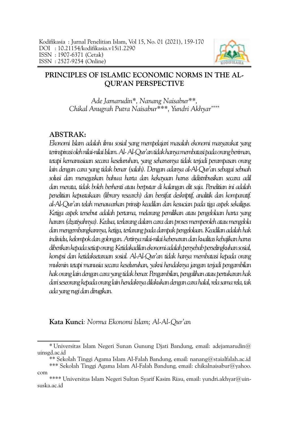

# <span id="page-0-0"></span>**PRINCIPLES OF ISLAMIC ECONOMIC NORMS IN THE AL-QUR'AN PERSPECTIVE**

*Ade Jamarudin\*, Nanang Naisabur\*\*, Chikal Anugrah Putra Naisabur\*\*\*, Yundri Akhyar\*\*\*\**

## **ABSTRAK:**

*Ekonomi Islam adalah ilmu sosial yang mempelajari masalah ekonomi masyarakat yang terinspirasi oleh nilai-nilai Islam. Al- Al-Qur'an tidak hanya membatasi pada orang beriman, tetapi kemanusiaan secara keseluruhan, yang seharusnya tidak terjadi perampasan orang lain dengan cara yang tidak benar (salah). Dengan adanya al-Al-Qur'an sebagai sebuah solusi dan menegaskan bahwa harta dan kekayaan harus didistribusikan secara adil dan merata, tidak boleh berhenti atau berputar di kalangan elit saja. Penelitian ini adalah penelitian kepustakaan (library research) dan bersifat deskriptif, analitik dan komparatif. al-Al-Qur'an telah menawarkan prinsip keadilan dan kesucian pada tiga aspek sekaligus. Ketiga aspek tersebut adalah pertama, melarang pemilikan atau pengelolaan harta yang haram (dzatiyahnya). Kedua, terlarang dalam cara dan proses memperoleh atau mengelola dan mengembangkannya, ketiga, terlarang pada dampak pengelolaan. Keadilan adalah hak individu, kelompok dan golongan. Artinya nilai-nilai kebenaran dan kualitas kebajikan harus diberikan kepada setiap orang. Ketidakadilan ekonomi adalah penyebab perselingkuhan sosial, korupsi dan ketidaksetaraan sosial. Al-Al-Qur'an tidak hanya membatasi kepada orang mukmin tetapi manusia secara keseluruhan, yakni hendaknya jangan terjadi pengambilan hak orang lain dengan cara yang tidak benar. Pengambilan, pengalihan atau pertukaran hak dari seseorang kepada orang lain hendaknya dilakukan dengan cara halal, rela sama rela, tak ada yang rugi dan dirugikan.*

**Kata Kunci***: Norma Ekonomi Islam; Al-Al-Qur'an* 

<sup>\*</sup> Universitas Islam Negeri Sunan Gunung Djati Bandung, email: adejamarudin $@$ [uinsgd.ac.id](mailto:adejamarudin@uinsgd.ac.id)

<sup>\*\*</sup> Sekolah Tinggi Agama Islam Al-Falah Bandung, email: nanang@staialfalah.ac.id

<sup>\*\*\*</sup> Sekolah Tinggi Agama Islam Al-Falah Bandung, email: chikalnaisabur@yahoo. com

<sup>\*\*\*\*</sup> Universitas Islam Negeri Sultan Syarif Kasim Riau, email: yundri.akhyar@uinsuska.ac.id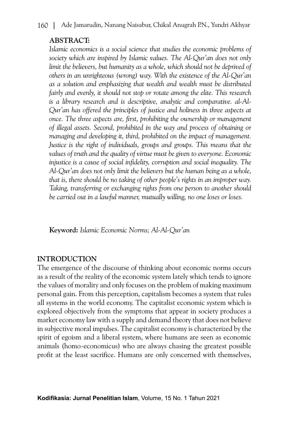## **ABSTRACT:**

*Islamic economics is a social science that studies the economic problems of society which are inspired by Islamic values. The Al-Qur'an does not only*  limit the believers, but humanity as a whole, which should not be deprived of *others in an unrighteous (wrong) way. With the existence of the Al-Qur'an as a solution and emphasizing that wealth and wealth must be distributed fairly and evenly, it should not stop or rotate among the elite. This research is a library research and is descriptive, analytic and comparative. al-Al-Qur'an has offered the principles of justice and holiness in three aspects at once. The three aspects are, first, prohibiting the ownership or management of illegal assets. Second, prohibited in the way and process of obtaining or managing and developing it, third, prohibited on the impact of management. Justice is the right of individuals, groups and groups. This means that the values of truth and the quality of virtue must be given to everyone. Economic injustice is a cause of social infidelity, corruption and social inequality. The Al-Qur'an does not only limit the believers but the human being as a whole, that is, there should be no taking of other people's rights in an improper way. Taking, transferring or exchanging rights from one person to another should be carried out in a lawful manner, mutually willing, no one loses or loses.*

**Keyword:** *Islamic Economic Norms; Al-Al-Qur'an* 

## **INTRODUCTION**

The emergence of the discourse of thinking about economic norms occurs as a result of the reality of the economic system lately which tends to ignore the values of morality and only focuses on the problem of making maximum personal gain. From this perception, capitalism becomes a system that rules all systems in the world economy. The capitalist economic system which is explored objectively from the symptoms that appear in society produces a market economy law with a supply and demand theory that does not believe in subjective moral impulses. The capitalist economy is characterized by the spirit of egoism and a liberal system, where humans are seen as economic animals (homo-economicus) who are always chasing the greatest possible profit at the least sacrifice. Humans are only concerned with themselves,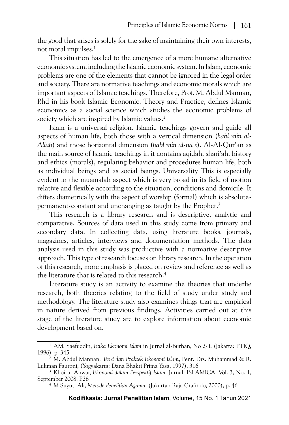the good that arises is solely for the sake of maintaining their own interests, not moral impulses.1

This situation has led to the emergence of a more humane alternative economic system, including the Islamic economic system. In Islam, economic problems are one of the elements that cannot be ignored in the legal order and society. There are normative teachings and economic morals which are important aspects of Islamic teachings. Therefore, Prof. M. Abdul Mannan, P.hd in his book Islamic Economic, Theory and Practice, defines Islamic economics as a social science which studies the economic problems of society which are inspired by Islamic values.<sup>2</sup>

Islam is a universal religion. Islamic teachings govern and guide all aspects of human life, both those with a vertical dimension (*habl min al-Allah*) and those horizontal dimension (*habl min al-na s*). Al-Al-Qur'an as the main source of Islamic teachings in it contains aqidah, shari'ah, history and ethics (morals), regulating behavior and procedures human life, both as individual beings and as social beings. Universality This is especially evident in the muamalah aspect which is very broad in its field of motion relative and flexible according to the situation, conditions and domicile. It differs diametrically with the aspect of worship (formal) which is absolutepermanent-constant and unchanging as taught by the Prophet.3

This research is a library research and is descriptive, analytic and comparative. Sources of data used in this study come from primary and secondary data. In collecting data, using literature books, journals, magazines, articles, interviews and documentation methods. The data analysis used in this study was productive with a normative descriptive approach. This type of research focuses on library research. In the operation of this research, more emphasis is placed on review and reference as well as the literature that is related to this research.<sup>4</sup>

Literature study is an activity to examine the theories that underlie research, both theories relating to the field of study under study and methodology. The literature study also examines things that are empirical in nature derived from previous findings. Activities carried out at this stage of the literature study are to explore information about economic development based on.

<sup>1</sup> AM. Saefuddin, *Etika Ekonomi Islam* in Jurnal al-Burhan, No 2/li. (Jakarta: PTIQ, 1996). p. 345 2 M. Abdul Mannan, *Teori dan Praktek Ekonomi Islam*, Pent. Drs. Muhammad & R.

Lukman Fauroni, (Yogyakarta: Dana Bhakti Prima Yasa, 1997), 316<br><sup>3</sup> Khoirul Anwar, *Ekonomi dalam Perspektif Islam*, Jurnal: ISLAMICA, Vol. 3, No. 1,

September 2008. P.26

<sup>4</sup> M Suyuti Ali, *Metode Penelitian Agama,* (Jakarta : Raja Grafindo, 2000), p. 46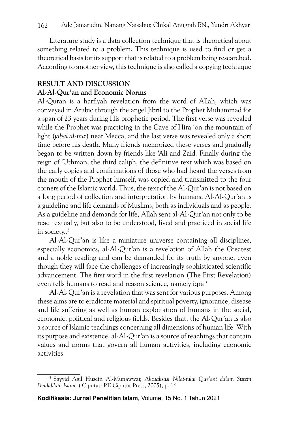Literature study is a data collection technique that is theoretical about something related to a problem. This technique is used to find or get a theoretical basis for its support that is related to a problem being researched. According to another view, this technique is also called a copying technique

## **RESULT AND DISCUSSION**

### **Al-Al-Qur'an and Economic Norms**

Al-Quran is a harfiyah revelation from the word of Allah, which was conveyed in Arabic through the angel Jibril to the Prophet Muhammad for a span of 23 years during His prophetic period. The first verse was revealed while the Prophet was practicing in the Cave of Hira 'on the mountain of light (*jabal al-nur*) near Mecca, and the last verse was revealed only a short time before his death. Many friends memorized these verses and gradually began to be written down by friends like 'Ali and Zaid. Finally during the reign of 'Uthman, the third caliph, the definitive text which was based on the early copies and confirmations of those who had heard the verses from the mouth of the Prophet himself, was copied and transmitted to the four corners of the Islamic world. Thus, the text of the Al-Qur'an is not based on a long period of collection and interpretation by humans. Al-Al-Qur'an is a guideline and life demands of Muslims, both as individuals and as people. As a guideline and demands for life, Allah sent al-Al-Qur'an not only to be read textually, but also to be understood, lived and practiced in social life in society..<sup>5</sup>

Al-Al-Qur'an is like a miniature universe containing all disciplines, especially economics, al-Al-Qur'an is a revelation of Allah the Greatest and a noble reading and can be demanded for its truth by anyone, even though they will face the challenges of increasingly sophisticated scientific advancement. The first word in the first revelation (The First Revelation) even tells humans to read and reason science, namely iqra '

Al-Al-Qur'an is a revelation that was sent for various purposes. Among these aims are to eradicate material and spiritual poverty, ignorance, disease and life suffering as well as human exploitation of humans in the social, economic, political and religious fields. Besides that, the Al-Qur'an is also a source of Islamic teachings concerning all dimensions of human life. With its purpose and existence, al-Al-Qur'an is a source of teachings that contain values and norms that govern all human activities, including economic activities.

<sup>5</sup> Sayyid Agil Husein Al-Munawwar, *Aktualisasi Nilai-nilai Qur'ani dalam Sistem Pendidikan Islam,* ( Ciputat: PT. Ciputat Press, 2005), p. 16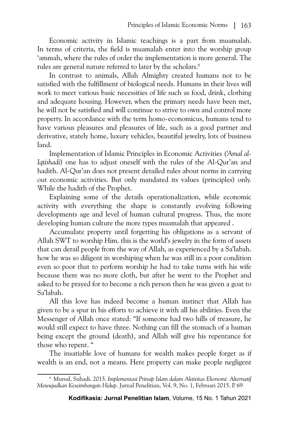Economic activity in Islamic teachings is a part from muamalah. In terms of criteria, the field is muamalah enter into the worship group 'ammah, where the rules of order the implementation is more general. The rules are general nature referred to later by the scholars.<sup>6</sup>

In contrast to animals, Allah Almighty created humans not to be satisfied with the fulfillment of biological needs. Humans in their lives will work to meet various basic necessities of life such as food, drink, clothing and adequate housing. However, when the primary needs have been met, he will not be satisfied and will continue to strive to own and control more property. In accordance with the term homo-economicus, humans tend to have various pleasures and pleasures of life, such as a good partner and derivative, stately home, luxury vehicles, beautiful jewelry, lots of business land.

Implementation of Islamic Principles in Economic Activities (*'Amal al-Iqtishadi*) one has to adjust oneself with the rules of the Al-Qur'an and hadith. Al-Qur'an does not present detailed rules about norms in carrying out economic activities. But only mandated its values (principles) only. While the hadith of the Prophet.

Explaining some of the details operationalization, while economic activity with everything the shape is constantly evolving following developments age and level of human cultural progress. Thus, the more developing human culture the more types muamalah that appeared .

Accumulate property until forgetting his obligations as a servant of Allah SWT to worship Him. this is the world's jewelry in the form of assets that can derail people from the way of Allah, as experienced by a Sa'labah. how he was so diligent in worshiping when he was still in a poor condition even so poor that to perform worship he had to take turns with his wife because there was no more cloth, but after he went to the Prophet and asked to be prayed for to become a rich person then he was given a goat to Sa'labah.

All this love has indeed become a human instinct that Allah has given to be a spur in his efforts to achieve it with all his abilities. Even the Messenger of Allah once stated: "If someone had two hills of treasure, he would still expect to have three. Nothing can fill the stomach of a human being except the ground (death), and Allah will give his repentance for those who repent. "

The insatiable love of humans for wealth makes people forget as if wealth is an end, not a means. Here property can make people negligent

<sup>6</sup> Mursal, Suhadi. 2015. *Implementasi Prinsip Islam dalam Aktivitas Ekonomi: Alternatif Mewujudkan Keseimbangan Hidup*. Jurnal Penelitian, Vol. 9, No. 1, Februari 2015. P. 69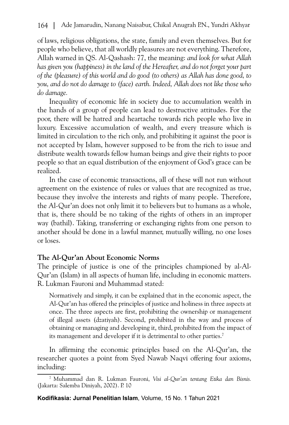of laws, religious obligations, the state, family and even themselves. But for people who believe, that all worldly pleasures are not everything. Therefore, Allah warned in QS. Al-Qashash: 77, the meaning: *and look for what Allah has given you (happiness) in the land of the Hereafter, and do not forget your part of the (pleasure) of this world and do good (to others) as Allah has done good, to you, and do not do damage to (face) earth. Indeed, Allah does not like those who do damage.*

Inequality of economic life in society due to accumulation wealth in the hands of a group of people can lead to destructive attitudes. For the poor, there will be hatred and heartache towards rich people who live in luxury. Excessive accumulation of wealth, and every treasure which is limited in circulation to the rich only, and prohibiting it against the poor is not accepted by Islam, however supposed to be from the rich to issue and distribute wealth towards fellow human beings and give their rights to poor people so that an equal distribution of the enjoyment of God's grace can be realized.

In the case of economic transactions, all of these will not run without agreement on the existence of rules or values that are recognized as true, because they involve the interests and rights of many people. Therefore, the Al-Qur'an does not only limit it to believers but to humans as a whole, that is, there should be no taking of the rights of others in an improper way (bathil). Taking, transferring or exchanging rights from one person to another should be done in a lawful manner, mutually willing, no one loses or loses.

## **The Al-Qur'an About Economic Norms**

The principle of justice is one of the principles championed by al-Al-Qur'an (Islam) in all aspects of human life, including in economic matters. R. Lukman Fauroni and Muhammad stated:

Normatively and simply, it can be explained that in the economic aspect, the Al-Qur'an has offered the principles of justice and holiness in three aspects at once. The three aspects are first, prohibiting the ownership or management of illegal assets (dzatiyah). Second, prohibited in the way and process of obtaining or managing and developing it, third, prohibited from the impact of its management and developer if it is detrimental to other parties.<sup>7</sup>

In affirming the economic principles based on the Al-Qur'an, the researcher quotes a point from Syed Nawab Naqvi offering four axioms, including:

<sup>7</sup> Muhammad dan R. Lukman Fauroni, *Visi al-Qur'an tentang Etika dan Bisnis.*  (Jakarta: Salemba Diniyah, 2002). P. 10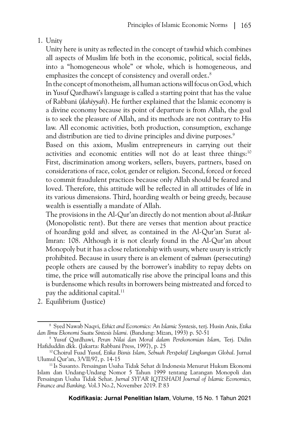## 1. Unity

Unity here is unity as reflected in the concept of tawhid which combines all aspects of Muslim life both in the economic, political, social fields, into a "homogeneous whole" or whole, which is homogeneous, and emphasizes the concept of consistency and overall order..<sup>8</sup>

In the concept of monotheism, all human actions will focus on God, which in Yusuf Qardhawi's language is called a starting point that has the value of Rabbani (*ilahiyyah*). He further explained that the Islamic economy is a divine economy because its point of departure is from Allah, the goal is to seek the pleasure of Allah, and its methods are not contrary to His law. All economic activities, both production, consumption, exchange and distribution are tied to divine principles and divine purposes.<sup>9</sup>

Based on this axiom, Muslim entrepreneurs in carrying out their activities and economic entities will not do at least three things:<sup>10</sup> First, discrimination among workers, sellers, buyers, partners, based on considerations of race, color, gender or religion. Second, forced or forced to commit fraudulent practices because only Allah should be feared and loved. Therefore, this attitude will be reflected in all attitudes of life in its various dimensions. Third, hoarding wealth or being greedy, because wealth is essentially a mandate of Allah.

The provisions in the Al-Qur'an directly do not mention about *al-Ihtikar* (Monopolistic rent). But there are verses that mention about practice of hoarding gold and silver, as contained in the Al-Qur'an Surat al-Imran: 108. Although it is not clearly found in the Al-Qur'an about Monopoly but it has a close relationship with usury, where usury is strictly prohibited. Because in usury there is an element of *zulmun* (persecuting) people others are caused by the borrower's inability to repay debts on time, the price will automatically rise above the principal loans and this is burdensome which results in borrowers being mistreated and forced to pay the additional capital.<sup>11</sup>

2. Equilibrium (Justice)

<sup>8</sup> Syed Nawab Naqvi, *Ethict and Economics: An Islamic Syntesis*, terj. Husin Anis, *Etika dan Ilmu Ekonomi Suatu Sintesis Islami*. (Bandung: Mizan, 1993) p. 50-51

<sup>9</sup> Yusuf Qardhawi, *Peran Nilai dan Moral dalam Perekonomian Islam,* Terj. Didin Hafiduddin dkk. (Jakarta: Rabbani Press, 1997), p. 25 10Choirul Fuad Yusuf, *Etika Bisnis Islam, Sebuah Perspektif Lingkungan Global*. Jurnal

Ulumul Qur'an, 3/VII/97, p. 14-15 11 Is Susanto. Persaingan Usaha Tidak Sehat di Indonesia Menurut Hukum Ekonomi

Islam dan Undang-Undang Nomor 5 Tahun 1999 tentang Larangan Monopoli dan Persaingan Usaha Tidak Sehat. *Jurnal SYI'AR IQTISHADI Journal of Islamic Economics, Finance and Banking*. Vol.3 No.2, November 2019. P. 83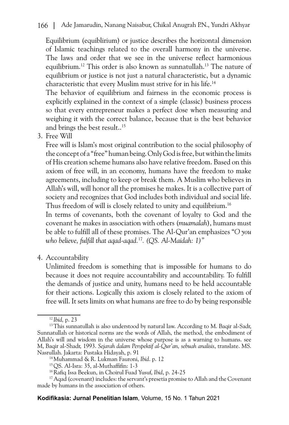Equilibrium (equiblirium) or justice describes the horizontal dimension of Islamic teachings related to the overall harmony in the universe. The laws and order that we see in the universe reflect harmonious equilibrium.12 This order is also known as sunnatullah.13 The nature of equilibrium or justice is not just a natural characteristic, but a dynamic characteristic that every Muslim must strive for in his life.14

The behavior of equilibrium and fairness in the economic process is explicitly explained in the context of a simple (classic) business process so that every entrepreneur makes a perfect dose when measuring and weighing it with the correct balance, because that is the best behavior and brings the best result..<sup>15</sup>

3. Free Will

Free will is Islam's most original contribution to the social philosophy of the concept of a "free" human being. Only God is free, but within the limits of His creation scheme humans also have relative freedom. Based on this axiom of free will, in an economy, humans have the freedom to make agreements, including to keep or break them. A Muslim who believes in Allah's will, will honor all the promises he makes. It is a collective part of society and recognizes that God includes both individual and social life. Thus freedom of will is closely related to unity and equilibrium.<sup>16</sup>

In terms of covenants, both the covenant of loyalty to God and the covenant he makes in association with others (*muamalah*), humans must be able to fulfill all of these promises. The Al-Qur'an emphasizes "*O you who believe, fulfill that aqad-aqad.*17*. (QS. Al-Maidah: 1)"*

4. Accountability

Unlimited freedom is something that is impossible for humans to do because it does not require accountability and accountability. To fulfill the demands of justice and unity, humans need to be held accountable for their actions. Logically this axiom is closely related to the axiom of free will. It sets limits on what humans are free to do by being responsible

**Kodifikasia: Jurnal Penelitian Islam**, Volume, 15 No. 1 Tahun 2021

<sup>12</sup> *Ibid,* p. 23

<sup>&</sup>lt;sup>13</sup>This sunnatullah is also understood by natural law. According to M. Baqir al-Sadr, Sunnatullah or historical norms are the words of Allah, the method, the embodiment of Allah's will and wisdom in the universe whose purpose is as a warning to humans. see M, Baqir al-Shadr, 1993. *Sejarah dalam Perspektif al-Qur'an, sebuah analisis*, translate. MS. Nasrullah. Jakarta: Pustaka Hidayah, p. 91

<sup>14</sup>Muhammad & R. Lukman Fauroni, *Ibid*. p. 12

<sup>15</sup>QS. Al-Isra: 35, al-Muthaffifin: 1-3

<sup>&</sup>lt;sup>16</sup> Rafiq Issa Beekun, in Choirul Fuad Yusuf, *Ibid*, p. 24-25<br><sup>17</sup> Aqad (covenant) includes: the servant's presetia promise to Allah and the Covenant made by humans in the association of others.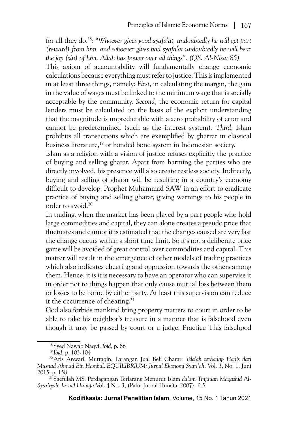for all they do.18: "*Whoever gives good syafa'at, undoubtedly he will get part (reward) from him. and whoever gives bad syafa'at undoubtedly he will bear the joy (sin) of him. Allah has power over all things". (QS. Al-Nisa: 85)*

This axiom of accountability will fundamentally change economic calculations because everything must refer to justice. This is implemented in at least three things, namely: *First*, in calculating the margin, the gain in the value of wages must be linked to the minimum wage that is socially acceptable by the community. *Second*, the economic return for capital lenders must be calculated on the basis of the explicit understanding that the magnitude is unpredictable with a zero probability of error and cannot be predetermined (such as the interest system). *Third*, Islam prohibits all transactions which are exemplified by gharrar in classical business literature,<sup>19</sup> or bonded bond system in Indonesian society.

Islam as a religion with a vision of justice refuses explicitly the practice of buying and selling gharar. Apart from harming the parties who are directly involved, his presence will also create restless society. Indirectly, buying and selling of gharar will be resulting in a country's economy difficult to develop. Prophet Muhammad SAW in an effort to eradicate practice of buying and selling gharar, giving warnings to his people in order to avoid.20

In trading, when the market has been played by a part people who hold large commodities and capital, they can alone creates a pseudo price that fluctuates and cannot it is estimated that the changes caused are very fast the change occurs within a short time limit. So it's not a deliberate price game will be avoided of great control over commodities and capital. This matter will result in the emergence of other models of trading practices which also indicates cheating and oppression towards the others among them. Hence, it is it is necessary to have an operator who can supervise it in order not to things happen that only cause mutual loss between them or losses to be borne by either party. At least this supervision can reduce it the occurrence of cheating.<sup>21</sup>

God also forbids mankind bring property matters to court in order to be able to take his neighbor's treasure in a manner that is falsehood even though it may be passed by court or a judge. Practice This falsehood

<sup>18</sup> Syed Nawab Naqvi, *Ibid*, p. 86

<sup>19</sup> *Ibid*, p. 103-104

<sup>20</sup>Aris Anwaril Muttaqin, Larangan Jual Beli Gharar*: Tela'ah terhadap Hadis dari Musnad Ahmad Bin Hambal*. *EQUILIBRIUM: Jurnal Ekonomi Syari'ah*, Vol. 3, No. 1, Juni 2015, p. 158 21 Saefulah MS. Perdagangan Terlarang Menurut Islam *dalam Tinjauan Maqashid Al-*

*Syar'iyah. Jurnal Hunafa* Vol. 4 No. 3, (Palu: Jurnal Hunafa, 2007). P. 5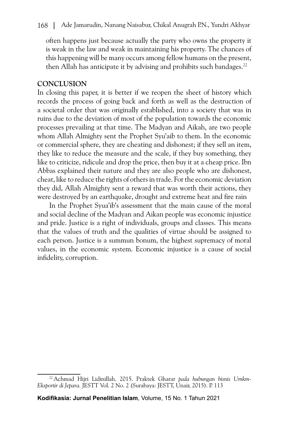often happens just because actually the party who owns the property it is weak in the law and weak in maintaining his property. The chances of this happening will be many occurs among fellow humans on the present, then Allah has anticipate it by advising and prohibits such bandages.<sup>22</sup>

### **CONCLUSION**

In closing this paper, it is better if we reopen the sheet of history which records the process of going back and forth as well as the destruction of a societal order that was originally established, into a society that was in ruins due to the deviation of most of the population towards the economic processes prevailing at that time. The Madyan and Aikah, are two people whom Allah Almighty sent the Prophet Syu'aib to them. In the economic or commercial sphere, they are cheating and dishonest; if they sell an item, they like to reduce the measure and the scale, if they buy something, they like to criticize, ridicule and drop the price, then buy it at a cheap price. Ibn Abbas explained their nature and they are also people who are dishonest, cheat, like to reduce the rights of others in trade. For the economic deviation they did, Allah Almighty sent a reward that was worth their actions, they were destroyed by an earthquake, drought and extreme heat and fire rain

In the Prophet Syua'ib's assessment that the main cause of the moral and social decline of the Madyan and Aikan people was economic injustice and pride. Justice is a right of individuals, groups and classes. This means that the values of truth and the qualities of virtue should be assigned to each person. Justice is a summun bonum, the highest supremacy of moral values, in the economic system. Economic injustice is a cause of social infidelity, corruption.

<sup>22</sup>Achmad Hijri Lidinillah. 2015. Praktek Gharar *pada hubungan bisnis Umkm-Eksportir di Jepara.* JESTT Vol. 2 No. 2 (Surabaya: JESTT, Unair, 2015). P. 113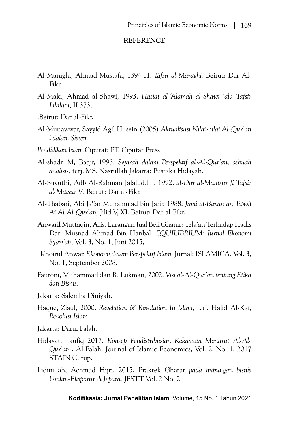#### **REFERENCE**

- Al-Maraghi, Ahmad Mustafa, 1394 H. *Tafsir al-Maraghi.* Beirut: Dar Al-Fikr.
- Al-Maki, Ahmad al-Shawi, 1993. *Hasiat al-'Alamah al-Shawi 'ala Tafsir Jalalain*, II 373,
- .Beirut: Dar al-Fikr.
- Al-Munawwar, Sayyid Agil Husein (2005).*Aktualisasi Nilai-nilai Al-Qur'an i dalam Sistem*
- *Pendidikan Islam,*Ciputat: PT. Ciputat Press
- Al-shadr, M, Baqir, 1993. *Sejarah dalam Perspektif al-Al-Qur'an, sebuah analisis*, terj. MS. Nasrullah Jakarta: Pustaka Hidayah.
- Al-Suyuthi, Adb Al-Rahman Jalaluddin, 1992. *al-Dur al-Mantsur fi Tafsir al-Matsur V*. Beirut: Dar al-Fikr.
- Al-Thabari, Abi Ja'far Muhammad bin Jarir, 1988. *Jami al-Bayan an Ta'wil Ai Al-Al-Qur'an,* Jilid V, XI. Beirut: Dar al-Fikr.
- Anwaril Muttaqin, Aris. Larangan Jual Beli Gharar: Tela'ah Terhadap Hadis Dari Musnad Ahmad Bin Hanbal *.EQUILIBRIUM: Jurnal Ekonomi Syari'ah*, Vol. 3, No. 1, Juni 2015,
- Khoirul Anwar, *Ekonomi dalam Perspektif Islam,* Jurnal: ISLAMICA, Vol. 3, No. 1, September 2008.
- Fauroni, Muhammad dan R. Lukman, 2002. *Visi al-Al-Qur'an tentang Etika dan Bisnis.*
- Jakarta: Salemba Diniyah.
- Haque, Ziaul, 2000. *Revelation & Revolution In Islam,* terj. Halid Al-Kaf, *Revolusi Islam*
- Jakarta: Darul Falah.
- Hidayat. Taufiq 2017. *Konsep Pendistribusian Kekayaan Menurut Al-Al-Qur'an* . Al Falah: Journal of Islamic Economics, Vol. 2, No. 1, 2017 STAIN Curup.
- Lidinillah, Achmad Hijri. 2015. Praktek Gharar *pada hubungan bisnis Umkm-Eksportir di Jepara.* JESTT Vol. 2 No. 2